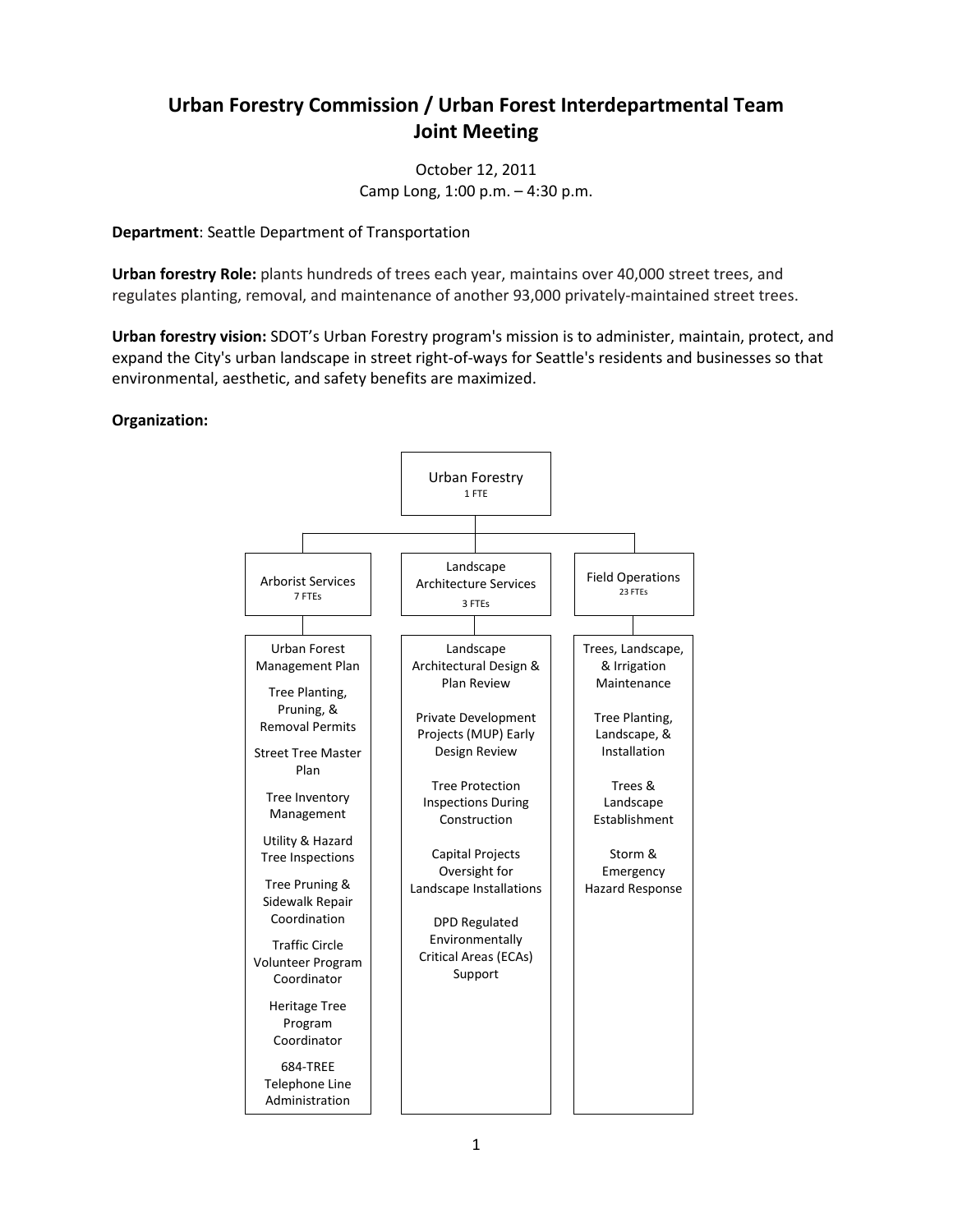## **Urban Forestry Commission / Urban Forest Interdepartmental Team Joint Meeting**

October 12, 2011 Camp Long, 1:00 p.m. – 4:30 p.m.

**Department**: Seattle Department of Transportation

**Urban forestry Role:** plants hundreds of trees each year, maintains over 40,000 street trees, and regulates planting, removal, and maintenance of another 93,000 privately-maintained street trees.

**Urban forestry vision:** SDOT's Urban Forestry program's mission is to administer, maintain, protect, and expand the City's urban landscape in street right-of-ways for Seattle's residents and businesses so that environmental, aesthetic, and safety benefits are maximized.

## **Organization:**